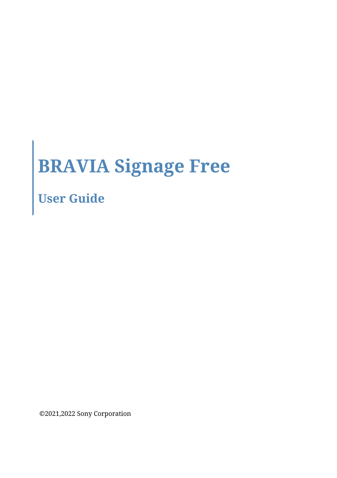# **BRAVIA Signage Free**

**User Guide**

©2021,2022 Sony Corporation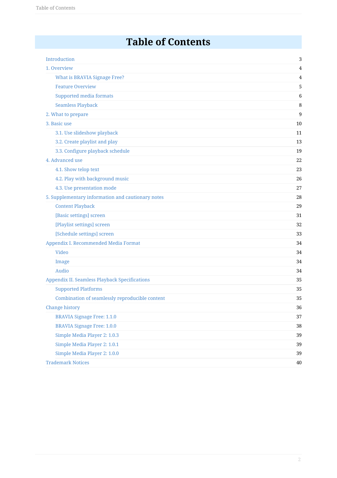### **Table of Contents**

| Introduction                                         | 3      |
|------------------------------------------------------|--------|
| 1. Overview                                          | 4      |
| <b>What is BRAVIA Signage Free?</b>                  | 4      |
| <b>Feature Overview</b>                              | 5      |
| <b>Supported media formats</b>                       | 6      |
| <b>Seamless Playback</b>                             | 8      |
| 2. What to prepare                                   | 9      |
| 3. Basic use                                         | 10     |
| 3.1. Use slideshow playback                          | 11     |
| 3.2. Create playlist and play                        | 13     |
| 3.3. Configure playback schedule                     | 19     |
| 4. Advanced use                                      | 22     |
| 4.1. Show telop text                                 | 23     |
| 4.2. Play with background music                      | 26     |
| 4.3. Use presentation mode                           | 27     |
| 5. Supplementary information and cautionary notes    | 28     |
| <b>Content Playback</b>                              | 29     |
| [Basic settings] screen                              | 31     |
| [Playlist settings] screen                           | 32     |
| [Schedule settings] screen                           | 33     |
| Appendix I. Recommended Media Format                 | 34     |
| <b>Video</b>                                         | 34     |
| Image                                                | 34     |
| Audio                                                | 34     |
| <b>Appendix II. Seamless Playback Specifications</b> | 35     |
| <b>Supported Platforms</b>                           | 35     |
| Combination of seamlessly reproducible content       | 35     |
| Change history                                       | 36     |
| <b>BRAVIA Signage Free: 1.1.0</b>                    | 37     |
| <b>BRAVIA Signage Free: 1.0.0</b>                    | 38     |
| Simple Media Player 2: 1.0.3                         | 39     |
| Simple Media Player 2: 1.0.1                         | 39     |
| Simple Media Player 2: 1.0.0                         | 39     |
| <b>Trademark Notices</b>                             | $40\,$ |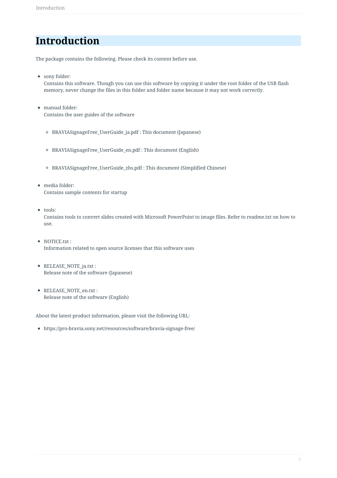### <span id="page-2-0"></span>**Introduction**

The package contains the following. Please check its content before use.

sony folder:

Contains this software. Though you can use this software by copying it under the root folder of the USB flash memory, never change the files in this folder and folder name because it may not work correctly.

- manual folder: Contains the user guides of the software
	- BRAVIASignageFree\_UserGuide\_ja.pdf : This document (Japanese)
	- BRAVIASignageFree\_UserGuide\_en.pdf : This document (English)
	- BRAVIASignageFree\_UserGuide\_zhs.pdf : This document (Simplified Chinese)
- media folder: Contains sample contents for startup
- $\bullet$  tools: Contains tools to convert slides created with Microsoft PowerPoint to image files. Refer to readme.txt on how to use.
- NOTICE.txt : Information related to open source licenses that this software uses
- RELEASE NOTE ja.txt : Release note of the software (Japanese)
- RELEASE\_NOTE\_en.txt : Release note of the software (English)

About the latest product information, please visit the following URL:

https://pro-bravia.sony.net/resources/software/bravia-signage-free/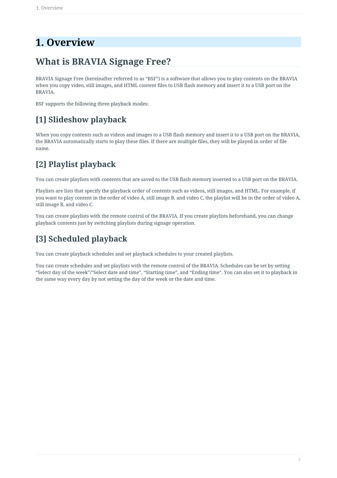### <span id="page-3-0"></span>**1. Overview**

### <span id="page-3-1"></span>**What is BRAVIA Signage Free?**

BRAVIA Signage Free (hereinafter referred to as "BSF") is a software that allows you to play contents on the BRAVIA when you copy video, still images, and HTML content files to USB flash memory and insert it to a USB port on the BRAVIA.

BSF supports the following three playback modes:

### **[1] Slideshow playback**

When you copy contents such as videos and images to a USB flash memory and insert it to a USB port on the BRAVIA, the BRAVIA automatically starts to play these files. If there are multiple files, they will be played in order of file name.

### **[2] Playlist playback**

You can create playlists with contents that are saved to the USB flash memory inserted to a USB port on the BRAVIA.

Playlists are lists that specify the playback order of contents such as videos, still images, and HTML. For example, if you want to play content in the order of video A, still image B, and video C, the playlist will be in the order of video A, still image B, and video C.

You can create playlists with the remote control of the BRAVIA. If you create playlists beforehand, you can change playback contents just by switching playlists during signage operation.

### **[3] Scheduled playback**

You can create playback schedules and set playback schedules to your created playlists.

You can create schedules and set playlists with the remote control of the BRAVIA. Schedules can be set by setting "Select day of the week"/"Select date and time", "Starting time", and "Ending time". You can also set it to playback in the same way every day by not setting the day of the week or the date and time.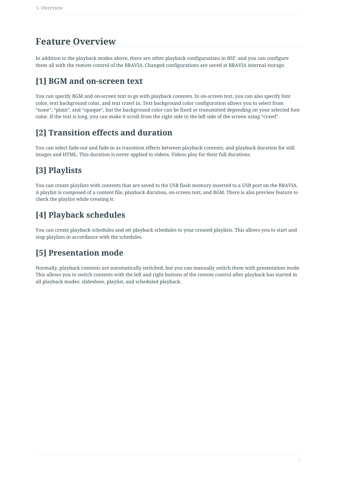### <span id="page-4-0"></span>**Feature Overview**

In addition to the playback modes above, there are other playback configurations in BSF, and you can configure them all with the remote control of the BRAVIA. Changed configurations are saved at BRAVIA internal storage.

#### **[1] BGM and on-screen text**

You can specify BGM and on-screen text to go with playback contents. In on-screen text, you can also specify font color, text background color, and text crawl in. Text background color configuration allows you to select from "none", "plain", and "opaque", but the background color can be fixed or transmitted depending on your selected font color. If the text is long, you can make it scroll from the right side to the left side of the screen using "crawl".

#### **[2] Transition effects and duration**

You can select fade-out and fade-in as transition effects between playback contents, and playback duration for still images and HTML. This duration is never applied to videos. Videos play for their full durations.

### **[3] Playlists**

You can create playlists with contents that are saved to the USB flash memory inserted to a USB port on the BRAVIA. A playlist is composed of a content file, playback duration, on-screen text, and BGM. There is also preview feature to check the playlist while creating it.

### **[4] Playback schedules**

You can create playback schedules and set playback schedules to your created playlists. This allows you to start and stop playlists in accordance with the schedules.

#### **[5] Presentation mode**

Normally, playback contents are automatically switched, but you can manually switch them with presentation mode. This allows you to switch contents with the left and right buttons of the remote control after playback has started in all playback modes: slideshow, playlist, and scheduled playback.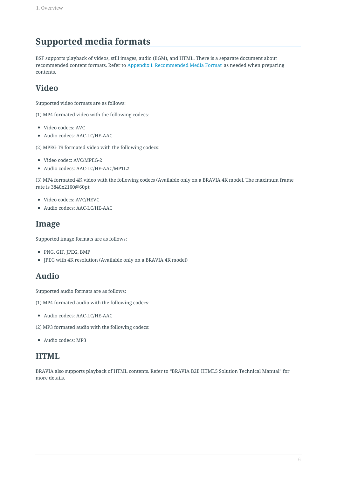### <span id="page-5-0"></span>**Supported media formats**

BSF supports playback of videos, still images, audio (BGM), and HTML. There is a separate document about recommended content formats. Refer to Appendix I. Recommended Media Format as needed when preparing contents.

#### **Video**

Supported video formats are as follows:

(1) MP4 formated video with the following codecs:

- Video codecs: AVC
- Audio codecs: AAC-LC/HE-AAC

(2) MPEG TS formated video with the following codecs:

- Video codec: AVC/MPEG-2
- Audio codecs: AAC-LC/HE-AAC/MP1L2

(3) MP4 formated 4K video with the following codecs (Available only on a BRAVIA 4K model. The maximum frame rate is 3840x2160@60p):

- Video codecs: AVC/HEVC
- Audio codecs: AAC-LC/HE-AAC

#### **Image**

Supported image formats are as follows:

- PNG, GIF, JPEG, BMP
- JPEG with 4K resolution (Available only on a BRAVIA 4K model)

#### **Audio**

Supported audio formats are as follows:

(1) MP4 formated audio with the following codecs:

Audio codecs: AAC-LC/HE-AAC

(2) MP3 formated audio with the following codecs:

Audio codecs: MP3

#### **HTML**

BRAVIA also supports playback of HTML contents. Refer to "BRAVIA B2B HTML5 Solution Technical Manual" for more details.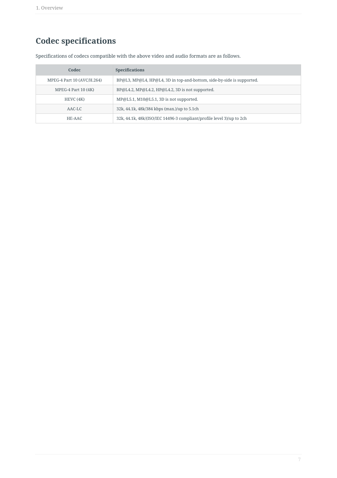### **Codec specifications**

Specifications of codecs compatible with the above video and audio formats are as follows.

| Codec                      | <b>Specifications</b>                                                 |
|----------------------------|-----------------------------------------------------------------------|
| MPEG-4 Part 10 (AVC/H.264) | BP@L3, MP@L4, HP@L4, 3D in top-and-bottom, side-by-side is supported. |
| MPEG-4 Part $10(4K)$       | BP@L4.2, MP@L4.2, HP@L4.2, 3D is not supported.                       |
| HEVC(4K)                   | MP@L5.1, M10@L5.1, 3D is not supported.                               |
| $AAC-LC$                   | 32k, 44.1k, 48k/384 kbps (max.)/up to 5.1ch                           |
| HE-AAC                     | 32k, 44.1k, 48k/(ISO/IEC 14496-3 compliant/profile level 3)/up to 2ch |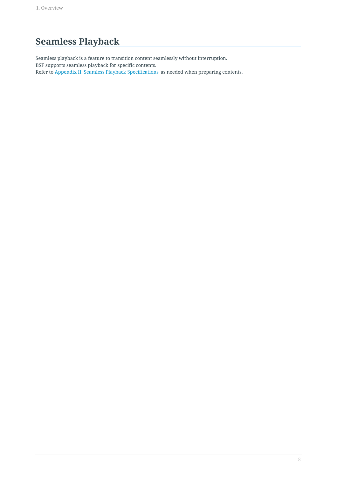### <span id="page-7-0"></span>**Seamless Playback**

Seamless playback is a feature to transition content seamlessly without interruption. BSF supports seamless playback for specific contents. Refer to Appendix II. Seamless Playback Specifications as needed when preparing contents.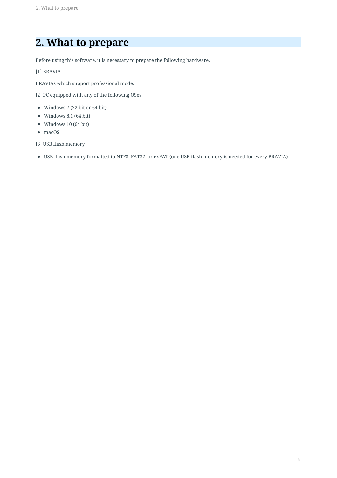### <span id="page-8-0"></span>**2. What to prepare**

Before using this software, it is necessary to prepare the following hardware.

[1] BRAVIA

BRAVIAs which support professional mode.

[2] PC equipped with any of the following OSes

- Windows 7 (32 bit or 64 bit)
- Windows 8.1 (64 bit)
- Windows 10 (64 bit)
- macOS

[3] USB flash memory

USB flash memory formatted to NTFS, FAT32, or exFAT (one USB flash memory is needed for every BRAVIA)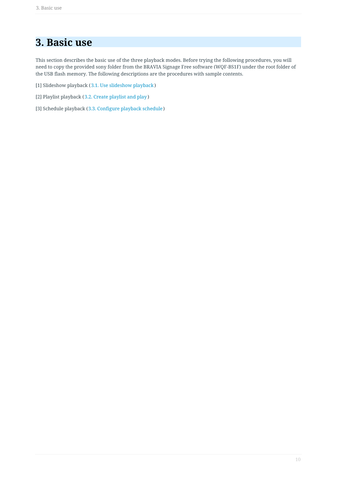### <span id="page-9-0"></span>**3. Basic use**

This section describes the basic use of the three playback modes. Before trying the following procedures, you will need to copy the provided sony folder from the BRAVIA Signage Free software (WQF-BS1F) under the root folder of the USB flash memory. The following descriptions are the procedures with sample contents.

- [1] Slideshow playback (3.1. Use slideshow playback )
- [2] Playlist playback (3.2. Create playlist and play )
- [3] Schedule playback (3.3. Configure playback schedule)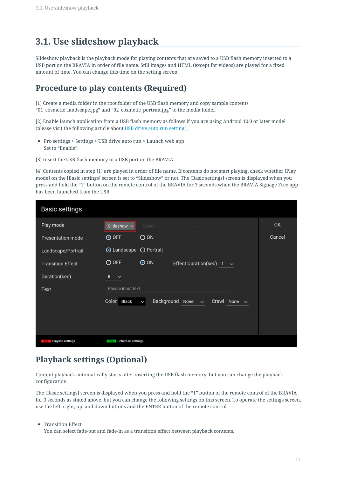### <span id="page-10-0"></span>**3.1. Use slideshow playback**

Slideshow playback is the playback mode for playing contents that are saved to a USB flash memory inserted to a USB port on the BRAVIA in order of file name. Still images and HTML (except for videos) are played for a fixed amount of time. You can change this time on the setting screen.

#### **Procedure to play contents (Required)**

[1] Create a media folder in the root folder of the USB flash memory and copy sample contents "01\_cosmetic\_landscape.jpg" and "02\_cosmetic\_portrait.jpg" to the media folder.

[2] Enable launch application from a USB flash memory as follows if you are using Android 10.0 or later model (please visit the following article about USB drive auto run setting).

Pro settings > Settings > USB drive auto run > Launch web app Set to "Enable".

[3] Insert the USB flash memory to a USB port on the BRAVIA.

[4] Contents copied in step [1] are played in order of file name. If contents do not start playing, check whether [Play mode] on the [Basic settings] screen is set to "Slideshow" or not. The [Basic settings] screen is displayed when you press and hold the "1" button on the remote control of the BRAVIA for 3 seconds when the BRAVIA Signage Free app has been launched from the USB.

| Basic settings           |                                                                 |           |
|--------------------------|-----------------------------------------------------------------|-----------|
| Play mode                | Slideshow $\sim$<br>Select<br>$\sim$                            | <b>OK</b> |
| Presentation mode        | <b>⊙</b> OFF<br>O ON                                            | Cancel    |
| Landscape/Portrait       | <b>⊙</b> Landscape ○ Portrait                                   |           |
| <b>Transition Effect</b> | O OFF<br>$\odot$ ON<br>Effect Duration(sec)<br>$\checkmark$     |           |
| Duration(sec)            | 8<br>$\checkmark$                                               |           |
| Text                     | Please input text.                                              |           |
|                          | Background None ~<br>Color Black<br>Crawl None $\sim$<br>$\vee$ |           |
|                          |                                                                 |           |
|                          |                                                                 |           |
| Playlist settings<br>Red | Schedule settings<br>Green                                      |           |

#### **Playback settings (Optional)**

Content playback automatically starts after inserting the USB flash memory, but you can change the playback configuration.

The [Basic settings] screen is displayed when you press and hold the "1" button of the remote control of the BRAVIA for 3 seconds as stated above, but you can change the following settings on this screen. To operate the settings screen, use the left, right, up, and down buttons and the ENTER button of the remote control.

• Transition Effect

You can select fade-out and fade-in as a transition effect between playback contents.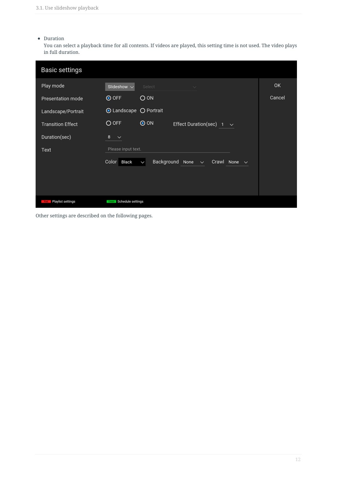#### Duration

You can select a playback time for all contents. If videos are played, this setting time is not used. The video plays in full duration.

| Basic settings           |                                                                                              |        |
|--------------------------|----------------------------------------------------------------------------------------------|--------|
| Play mode                | Slideshow $\sim$<br>Select<br>$\checkmark$                                                   | 0K     |
| Presentation mode        | <b>⊙</b> OFF<br>O ON                                                                         | Cancel |
| Landscape/Portrait       | <b>O</b> Landscape ○ Portrait                                                                |        |
| <b>Transition Effect</b> | O OFF<br>$\odot$ ON<br>Effect Duration(sec)<br>$\sim$                                        |        |
| Duration(sec)            | 8<br>$\checkmark$                                                                            |        |
| Text                     | Please input text.                                                                           |        |
|                          | Background<br>Color<br>Black<br>None<br>Crawl<br>None $\vee$<br>$\checkmark$<br>$\checkmark$ |        |
|                          |                                                                                              |        |
|                          |                                                                                              |        |
| Playlist settings<br>Red | Schedule settings<br>Green                                                                   |        |

Other settings are described on the following pages.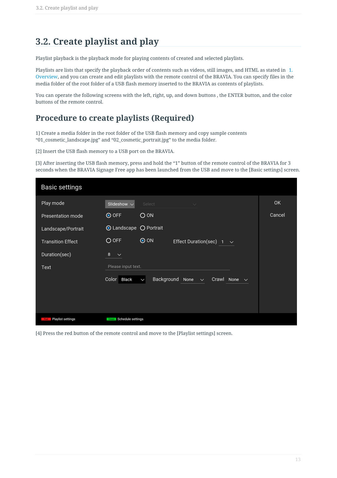### <span id="page-12-0"></span>**3.2. Create playlist and play**

Playlist playback is the playback mode for playing contents of created and selected playlists.

Playlists are lists that specify the playback order of contents such as videos, still images, and HTML as stated in 1. Overview, and you can create and edit playlists with the remote control of the BRAVIA. You can specify files in the media folder of the root folder of a USB flash memory inserted to the BRAVIA as contents of playlists.

You can operate the following screens with the left, right, up, and down buttons , the ENTER button, and the color buttons of the remote control.

#### **Procedure to create playlists (Required)**

1] Create a media folder in the root folder of the USB flash memory and copy sample contents "01\_cosmetic\_landscape.jpg" and "02\_cosmetic\_portrait.jpg" to the media folder.

[2] Insert the USB flash memory to a USB port on the BRAVIA.

[3] After inserting the USB flash memory, press and hold the "1" button of the remote control of the BRAVIA for 3 seconds when the BRAVIA Signage Free app has been launched from the USB and move to the [Basic settings] screen.

| Basic settings                  |                                                                      |        |
|---------------------------------|----------------------------------------------------------------------|--------|
| Play mode                       | Slideshow $\vee$<br>Select<br>$\checkmark$                           | 0K     |
| Presentation mode               | O OFF<br>O ON                                                        | Cancel |
| Landscape/Portrait              | <b>O</b> Landscape ○ Portrait                                        |        |
| <b>Transition Effect</b>        | O OFF<br>$\odot$ ON<br>Effect Duration(sec) 1<br>$\sim$              |        |
| Duration(sec)                   | 8<br>$\checkmark$                                                    |        |
| Text                            | Please input text.                                                   |        |
|                                 | Background None $\sim$<br>Color Black<br>Crawl None $\sim$<br>$\vee$ |        |
|                                 |                                                                      |        |
|                                 |                                                                      |        |
| Playlist settings<br><b>Red</b> | <b>Green</b> Schedule settings                                       |        |

[4] Press the red button of the remote control and move to the [Playlist settings] screen.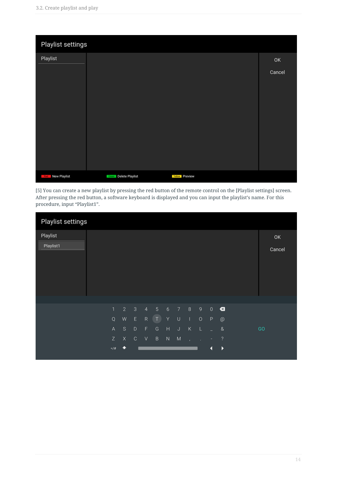| Playlist settings       |                       |                |        |
|-------------------------|-----------------------|----------------|--------|
| Playlist                |                       |                | OK     |
|                         |                       |                | Cancel |
| <b>Red</b> New Playlist | Green Delete Playlist | Yellow Preview |        |

[5] You can create a new playlist by pressing the red button of the remote control on the [Playlist settings] screen. After pressing the red button, a software keyboard is displayed and you can input the playlist's name. For this procedure, input "Playlist1".

| Playlist settings |             |                |              |                |              |                  |           |        |             |              |                          |    |        |
|-------------------|-------------|----------------|--------------|----------------|--------------|------------------|-----------|--------|-------------|--------------|--------------------------|----|--------|
| Playlist          |             |                |              |                |              |                  |           |        |             |              |                          |    | OK     |
| Playlist1         |             |                |              |                |              |                  |           |        |             |              |                          |    | Cancel |
|                   |             |                |              |                |              |                  |           |        |             |              |                          |    |        |
|                   |             |                |              |                |              |                  |           |        |             |              |                          |    |        |
|                   |             |                |              |                |              |                  |           |        |             |              |                          |    |        |
|                   |             |                |              |                |              |                  |           |        |             |              |                          |    |        |
|                   |             |                |              |                |              |                  |           |        |             |              |                          |    |        |
|                   | 1           | $\overline{2}$ | $\sqrt{3}$   | $\overline{4}$ | $\sqrt{5}$   | $\boldsymbol{6}$ | 7         | $\,$ 8 | $\mathsf g$ | $\,0\,$      | $\bullet$                |    |        |
|                   | $\mathsf Q$ | W              | $\mathsf{E}$ | ${\sf R}$      | $\bullet$    | Υ                | $\cup$    | T.     | $\circ$     | $\mathsf{P}$ | $^{\circ}$               |    |        |
|                   | A           | S              | D            | F.             | G            | $\mathsf H$      | $\sf J$   | Κ      | L           | ÷            | $\&$                     | GO |        |
|                   | Z           | $\mathsf X$    | $\mathbb C$  | V              | $\, {\sf B}$ | ${\sf N}$        | ${\sf M}$ | ×      | ٠           | ٠            | $\overline{\mathcal{E}}$ |    |        |
|                   | $=$ / $\#$  | ۸              |              |                |              |                  |           |        |             | ◀            | $\blacktriangleright$    |    |        |
|                   |             |                |              |                |              |                  |           |        |             |              |                          |    |        |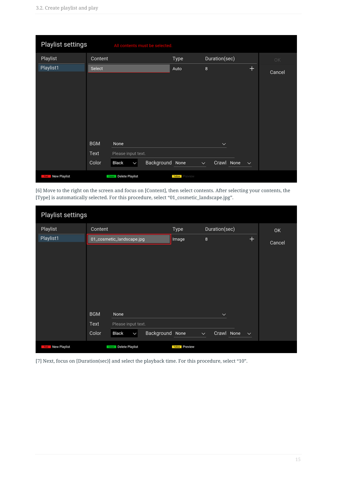| Playlist settings |                             | All contents must be selected.                      |                 |                       |                                            |              |        |
|-------------------|-----------------------------|-----------------------------------------------------|-----------------|-----------------------|--------------------------------------------|--------------|--------|
| Playlist          | Content                     |                                                     |                 | Type                  | Duration(sec)                              |              | OK     |
| Playlist1         | Select                      |                                                     |                 | Auto                  | 8                                          | $+$          | Cancel |
|                   | <b>BGM</b><br>Text<br>Color | None<br>Please input text.<br>Black<br>$\checkmark$ | Background None |                       | $\checkmark$<br>Crawl None<br>$\checkmark$ | $\checkmark$ |        |
| Red New Playlist  |                             | Green Delete Playlist                               |                 | <b>Yellow</b> Preview |                                            |              |        |

[6] Move to the right on the screen and focus on [Content], then select contents. After selecting your contents, the [Type] is automatically selected. For this procedure, select "01\_cosmetic\_landscape.jpg".

| Playlist settings   |                                        |                       |                                            |        |
|---------------------|----------------------------------------|-----------------------|--------------------------------------------|--------|
| Playlist            | Content                                | Type                  | Duration(sec)                              | OK     |
| Playlist1           | 01_cosmetic_landscape.jpg              | Image                 | $\pm$<br>8                                 | Cancel |
|                     |                                        |                       |                                            |        |
|                     |                                        |                       |                                            |        |
|                     |                                        |                       |                                            |        |
|                     |                                        |                       |                                            |        |
|                     |                                        |                       |                                            |        |
|                     |                                        |                       |                                            |        |
|                     |                                        |                       |                                            |        |
|                     | <b>BGM</b><br>None                     |                       | $\checkmark$                               |        |
|                     | Text<br>Please input text.             |                       |                                            |        |
|                     | Background<br>Color<br>Black<br>$\vee$ | None                  | Crawl None<br>$\checkmark$<br>$\checkmark$ |        |
| New Playlist<br>Red | Green Delete Playlist                  | <b>Yellow</b> Preview |                                            |        |

[7] Next, focus on [Duration(sec)] and select the playback time. For this procedure, select "10".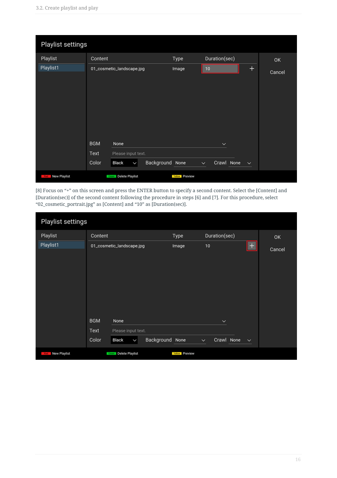| Playlist settings   |                                                                                                       |                       |                                                           |        |
|---------------------|-------------------------------------------------------------------------------------------------------|-----------------------|-----------------------------------------------------------|--------|
| Playlist            | Content                                                                                               | Type                  | Duration(sec)                                             | OK     |
| Playlist1           | 01_cosmetic_landscape.jpg                                                                             | Image                 | $\pm$<br>10                                               | Cancel |
|                     | <b>BGM</b><br>None<br>Text<br>Please input text.<br>Background None<br>Color<br>Black<br>$\checkmark$ |                       | $\check{~}$<br>Crawl None<br>$\checkmark$<br>$\checkmark$ |        |
| New Playlist<br>Red | Green Delete Playlist                                                                                 | <b>Yellow</b> Preview |                                                           |        |

[8] Focus on "+" on this screen and press the ENTER button to specify a second content. Select the [Content] and [Duration(sec)] of the second content following the procedure in steps [6] and [7]. For this procedure, select "02\_cosmetic\_portrait.jpg" as [Content] and "10" as [Duration(sec)].

| Playlist settings        |                             |                                                     |            |                       |               |                            |              |        |
|--------------------------|-----------------------------|-----------------------------------------------------|------------|-----------------------|---------------|----------------------------|--------------|--------|
| Playlist                 | Content                     |                                                     |            | Type                  | Duration(sec) |                            |              | OK     |
| Playlist1                |                             | 01_cosmetic_landscape.jpg                           |            | Image                 | 10            |                            | $^{+}$       | Cancel |
|                          | <b>BGM</b><br>Text<br>Color | None<br>Please input text.<br>Black<br>$\checkmark$ | Background | None                  | $\checkmark$  | $\checkmark$<br>Crawl None | $\checkmark$ |        |
| <b>Rixi</b> New Playlist |                             | Green Delete Playlist                               |            | <b>Yellow</b> Preview |               |                            |              |        |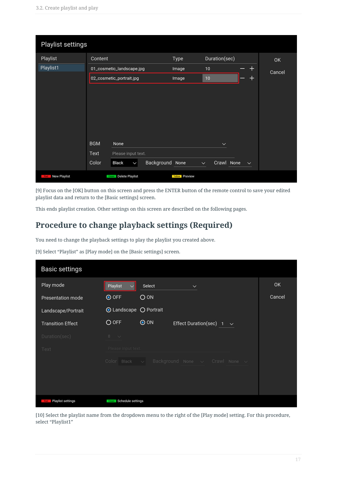| Playlist settings       |                                                  |                       |                                            |        |
|-------------------------|--------------------------------------------------|-----------------------|--------------------------------------------|--------|
| Playlist                | Content                                          | Type                  | Duration(sec)                              | OK     |
| Playlist1               | 01_cosmetic_landscape.jpg                        | Image                 | $\mathrm{+}$<br>10 <sup>1</sup>            | Cancel |
|                         | 02_cosmetic_portrait.jpg                         | Image                 | $\pm$<br>10 <sub>1</sub>                   |        |
|                         |                                                  |                       |                                            |        |
|                         | <b>BGM</b><br>None                               |                       | $\check{~}$                                |        |
|                         | Text<br>Please input text.                       |                       |                                            |        |
|                         | Background None<br>Color<br>Black<br>$\check{ }$ |                       | Crawl None<br>$\checkmark$<br>$\checkmark$ |        |
| <b>Red</b> New Playlist | Green Delete Playlist                            | <b>Yellow</b> Preview |                                            |        |

[9] Focus on the [OK] button on this screen and press the ENTER button of the remote control to save your edited playlist data and return to the [Basic settings] screen.

This ends playlist creation. Other settings on this screen are described on the following pages.

#### **Procedure to change playback settings (Required)**

You need to change the playback settings to play the playlist you created above.

[9] Select "Playlist" as [Play mode] on the [Basic settings] screen.

| Basic settings           |                                                                   |        |
|--------------------------|-------------------------------------------------------------------|--------|
| Play mode                | Playlist<br>Select<br>$\checkmark$                                | OK     |
| Presentation mode        | <b>⊙</b> OFF<br>O ON                                              | Cancel |
| Landscape/Portrait       | <b>O</b> Landscape O Portrait                                     |        |
| <b>Transition Effect</b> | O OFF<br>$\odot$ ON<br>Effect Duration(sec)<br>$\sim$             |        |
| Duration(sec)            | $8 - \vee$                                                        |        |
| Text                     | Please input text.                                                |        |
|                          | Background None $\sim$ Crawl None $\sim$<br>Color Black $\sqrt{}$ |        |
|                          |                                                                   |        |
|                          |                                                                   |        |
| Playlist settings<br>Red | Schedule settings<br>Green                                        |        |

[10] Select the playlist name from the dropdown menu to the right of the [Play mode] setting. For this procedure, select "Playlist1"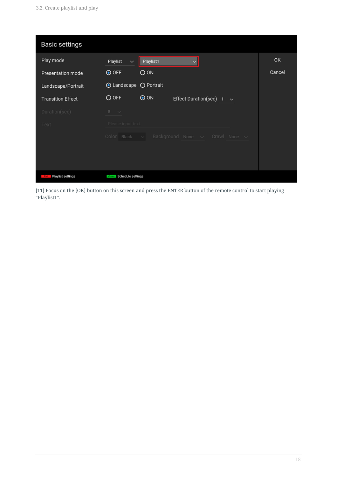| Basic settings           |                          |            |                                          |              |        |
|--------------------------|--------------------------|------------|------------------------------------------|--------------|--------|
| Play mode                | Playlist<br>$\checkmark$ | Playlist1  |                                          |              | OK     |
| Presentation mode        | O OFF                    | O ON       |                                          |              | Cancel |
| Landscape/Portrait       | ⊙ Landscape ○ Portrait   |            |                                          |              |        |
| <b>Transition Effect</b> | O OFF                    | $\odot$ ON | Effect Duration(sec)                     | $\checkmark$ |        |
| Duration(sec)            | $8 - \vee$               |            |                                          |              |        |
| Text                     | Please input text.       |            |                                          |              |        |
|                          | Color Black $\sqrt{}$    |            | Background None $\vee$ Crawl None $\vee$ |              |        |
|                          |                          |            |                                          |              |        |
|                          |                          |            |                                          |              |        |
| Playlist settings<br>Red | Green Schedule settings  |            |                                          |              |        |

[11] Focus on the [OK] button on this screen and press the ENTER button of the remote control to start playing "Playlist1".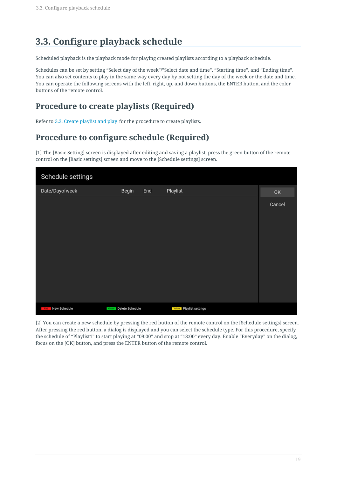### <span id="page-18-0"></span>**3.3. Configure playback schedule**

Scheduled playback is the playback mode for playing created playlists according to a playback schedule.

Schedules can be set by setting "Select day of the week"/"Select date and time", "Starting time", and "Ending time". You can also set contents to play in the same way every day by not setting the day of the week or the date and time. You can operate the following screens with the left, right, up, and down buttons, the ENTER button, and the color buttons of the remote control.

#### **Procedure to create playlists (Required)**

Refer to 3.2. Create playlist and play for the procedure to create playlists.

#### **Procedure to configure schedule (Required)**

[1] The [Basic Setting] screen is displayed after editing and saving a playlist, press the green button of the remote control on the [Basic settings] screen and move to the [Schedule settings] screen.

| Schedule settings   |                       |     |                                 |        |
|---------------------|-----------------------|-----|---------------------------------|--------|
| Date/Dayofweek      | Begin                 | End | Playlist                        | OK     |
|                     |                       |     |                                 | Cancel |
| New Schedule<br>Red | Green Delete Schedule |     | <b>Yellow</b> Playlist settings |        |

[2] You can create a new schedule by pressing the red button of the remote control on the [Schedule settings] screen. After pressing the red button, a dialog is displayed and you can select the schedule type. For this procedure, specify the schedule of "Playlist1" to start playing at "09:00" and stop at "18:00" every day. Enable "Everyday" on the dialog, focus on the [OK] button, and press the ENTER button of the remote control.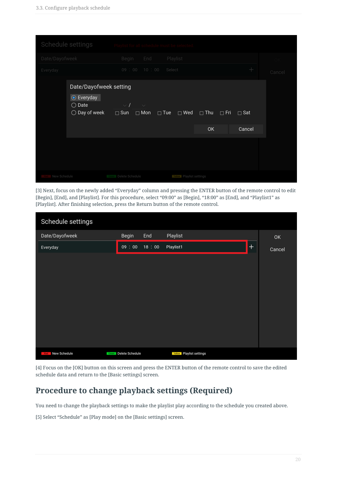| Schedule settings                                                                 |                                                                                                                                 |        |
|-----------------------------------------------------------------------------------|---------------------------------------------------------------------------------------------------------------------------------|--------|
| Date/Dayofweek                                                                    | Playlist<br>End<br>Begin                                                                                                        |        |
| Everyday                                                                          | $\qquad \qquad +$<br>09:00 10:00<br>Select                                                                                      | Cancel |
| Date/Dayofweek setting<br>⊙ Everyday<br>$\bigcirc$ Date<br>$\bigcirc$ Day of week | $\vee$ /<br>$\sim$<br>$\Box$ Sun<br>$\Box$ Mon<br>$\Box$ Tue<br>— ™ed<br>$\Box$ Thu<br>$\Box$ Fri<br>$\Box$ Sat<br>Cancel<br>OK |        |
|                                                                                   |                                                                                                                                 |        |
| New Schedule                                                                      | <b>Lacer Delete Schedule</b><br><b>Yester</b> Playlist settings                                                                 |        |

[3] Next, focus on the newly added "Everyday" column and pressing the ENTER button of the remote control to edit [Begin], [End], and [Playlist]. For this procedure, select "09:00" as [Begin], "18:00" as [End], and "Playlist1" as [Playlist]. After finishing selection, press the Return button of the remote control.

| Schedule settings   |                       |       |                                 |       |        |
|---------------------|-----------------------|-------|---------------------------------|-------|--------|
| Date/Dayofweek      | Begin                 | End   | Playlist                        |       | OK     |
| Everyday            | 09:00                 | 18:00 | Playlist1                       | $\pm$ | Cancel |
|                     |                       |       |                                 |       |        |
|                     |                       |       |                                 |       |        |
|                     |                       |       |                                 |       |        |
|                     |                       |       |                                 |       |        |
|                     |                       |       |                                 |       |        |
|                     |                       |       |                                 |       |        |
|                     |                       |       |                                 |       |        |
|                     |                       |       |                                 |       |        |
| New Schedule<br>Red | Green Delete Schedule |       | <b>Yellow</b> Playlist settings |       |        |

[4] Focus on the [OK] button on this screen and press the ENTER button of the remote control to save the edited schedule data and return to the [Basic settings] screen.

#### **Procedure to change playback settings (Required)**

You need to change the playback settings to make the playlist play according to the schedule you created above.

[5] Select "Schedule" as [Play mode] on the [Basic settings] screen.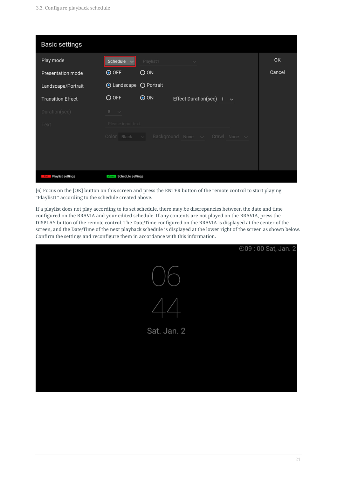| Basic settings                  |                                                                   |        |
|---------------------------------|-------------------------------------------------------------------|--------|
| Play mode                       | Schedule<br>Playlist1<br>$\checkmark$<br><b>STATE OF BUILDING</b> | 0K     |
| Presentation mode               | O ON<br>O OFF                                                     | Cancel |
| Landscape/Portrait              | <b>O</b> Landscape ○ Portrait                                     |        |
| <b>Transition Effect</b>        | O OFF<br>$\odot$ ON<br>Effect Duration(sec)<br>$\checkmark$       |        |
| Duration(sec)                   | $8 - \vee$                                                        |        |
| Text                            | Please input text.                                                |        |
|                                 | Background None $\vee$ Crawl None $\vee$<br>$Color$ Black $\sim$  |        |
|                                 |                                                                   |        |
|                                 |                                                                   |        |
| Playlist settings<br><b>Red</b> | Green Schedule settings                                           |        |

[6] Focus on the [OK] button on this screen and press the ENTER button of the remote control to start playing "Playlist1" according to the schedule created above.

If a playlist does not play according to its set schedule, there may be discrepancies between the date and time configured on the BRAVIA and your edited schedule. If any contents are not played on the BRAVIA, press the DISPLAY button of the remote control. The Date/Time configured on the BRAVIA is displayed at the center of the screen, and the Date/Time of the next playback schedule is displayed at the lower right of the screen as shown below. Confirm the settings and reconfigure them in accordance with this information.

|             | ⊙09:00 Sat, Jan. 2 |
|-------------|--------------------|
|             |                    |
|             |                    |
| Sat. Jan. 2 |                    |
|             |                    |
|             |                    |
|             |                    |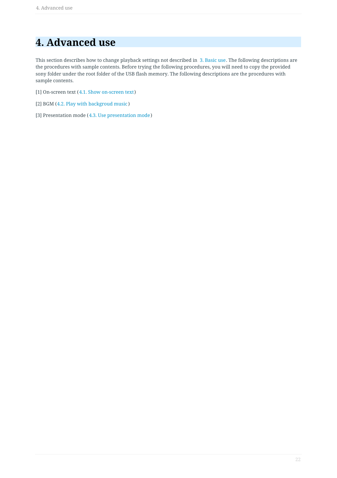### <span id="page-21-0"></span>**4. Advanced use**

This section describes how to change playback settings not described in 3. Basic use. The following descriptions are the procedures with sample contents. Before trying the following procedures, you will need to copy the provided sony folder under the root folder of the USB flash memory. The following descriptions are the procedures with sample contents.

- [1] On-screen text (4.1. Show on-screen text)
- [2] BGM (4.2. Play with backgroud music )
- [3] Presentation mode (4.3. Use presentation mode)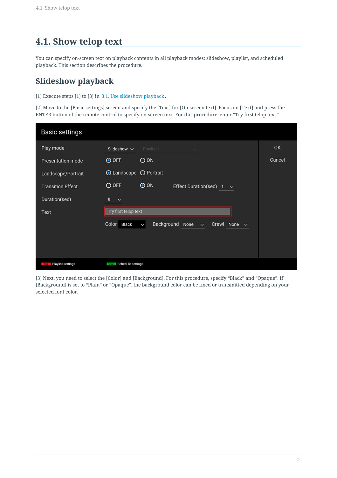### <span id="page-22-0"></span>**4.1. Show telop text**

You can specify on-screen text on playback contents in all playback modes: slideshow, playlist, and scheduled playback. This section describes the procedure.

#### **Slideshow playback**

[1] Execute steps [1] to [3] in 3.1. Use slideshow playback .

[2] Move to the [Basic settings] screen and specify the [Text] for [On-screen text]. Focus on [Text] and press the ENTER button of the remote control to specify on-screen text. For this procedure, enter "Try first telop text."

| Basic settings           |                                                                               |        |
|--------------------------|-------------------------------------------------------------------------------|--------|
| Play mode                | Slideshow $\sim$<br>Playlist1<br>$\checkmark$                                 | 0K     |
| Presentation mode        | O ON<br>O OFF                                                                 | Cancel |
| Landscape/Portrait       | <b>O</b> Landscape ○ Portrait                                                 |        |
| <b>Transition Effect</b> | O OFF<br>$\odot$ ON<br>Effect Duration(sec)<br>$1 - \vee$                     |        |
| Duration(sec)            | 8<br>$\checkmark$                                                             |        |
| Text                     | Try first telop text                                                          |        |
|                          | Background<br>Color Black<br>Crawl None $\sim$<br>None $\vee$<br>$\checkmark$ |        |
|                          |                                                                               |        |
|                          |                                                                               |        |
| Playlist settings<br>Red | Schedule settings<br>Green                                                    |        |

[3] Next, you need to select the [Color] and [Background]. For this procedure, specify "Black" and "Opaque". If [Background] is set to "Plain" or "Opaque", the background color can be fixed or transmitted depending on your selected font color.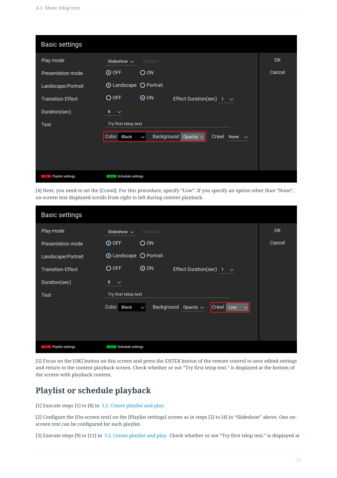| Basic settings           |                                                                                        |        |
|--------------------------|----------------------------------------------------------------------------------------|--------|
| Play mode                | Slideshow $\sim$<br>Playlist1<br>$\checkmark$                                          | OK     |
| Presentation mode        | O ON<br><b>⊙</b> OFF                                                                   | Cancel |
| Landscape/Portrait       | <b>O</b> Landscape ○ Portrait                                                          |        |
| <b>Transition Effect</b> | $\odot$ ON<br>O OFF<br>Effect Duration(sec)<br>$\sim$                                  |        |
| Duration(sec)            | 8<br>$\checkmark$                                                                      |        |
| Text                     | Try first telop text                                                                   |        |
|                          | Background<br>Color<br>Black<br>Crawl<br>Opacity $\sim$<br>None $\vee$<br>$\checkmark$ |        |
|                          |                                                                                        |        |
|                          |                                                                                        |        |
| Playlist settings<br>Red | Schedule settings<br>Green                                                             |        |

[4] Next, you need to set the [Crawl]. For this procedure, specify "Low". If you specify an option other than "None", on-screen text displayed scrolls from right to left during content playback.

| Basic settings                  |                               |                            |                      |                           |        |
|---------------------------------|-------------------------------|----------------------------|----------------------|---------------------------|--------|
| Play mode                       | Slideshow $\sim$              | Playlist1                  | $\checkmark$         |                           | 0K     |
| <b>Presentation mode</b>        | <b>⊙</b> OFF                  | O ON                       |                      |                           | Cancel |
| Landscape/Portrait              | <b>O</b> Landscape ○ Portrait |                            |                      |                           |        |
| <b>Transition Effect</b>        | O OFF                         | $\odot$ ON                 | Effect Duration(sec) | $\sim$                    |        |
| Duration(sec)                   | 8<br>$\checkmark$             |                            |                      |                           |        |
| Text                            | Try first telop text          |                            |                      |                           |        |
|                                 | Color<br>Black                | Background<br>$\checkmark$ | Opacity $\sim$       | Crawl Low<br>$\checkmark$ |        |
|                                 |                               |                            |                      |                           |        |
|                                 |                               |                            |                      |                           |        |
| Playlist settings<br><b>Red</b> | Schedule settings<br>Green    |                            |                      |                           |        |

[5] Focus on the [OK] button on this screen and press the ENTER button of the remote control to save edited settings and return to the content playback screen. Check whether or not "Try first telop text." is displayed at the bottom of the screen with playback content.

#### **Playlist or schedule playback**

[1] Execute steps [1] to [8] in 3.2. Create playlist and play .

[2] Configure the [On-screen text] on the [Playlist settings] screen as in steps [2] to [4] in "Slideshow" above. One onscreen text can be configured for each playlist.

[3] Execute steps [9] to [11] in 3.2. Create playlist and play . Check whether or not "Try first telop text." is displayed at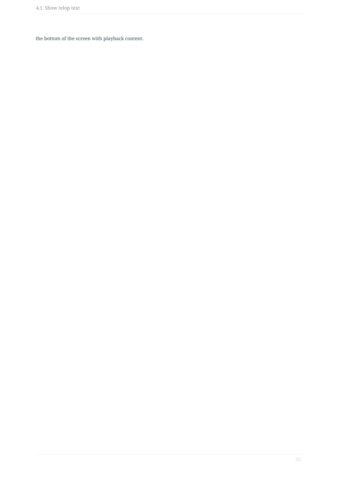the bottom of the screen with playback content.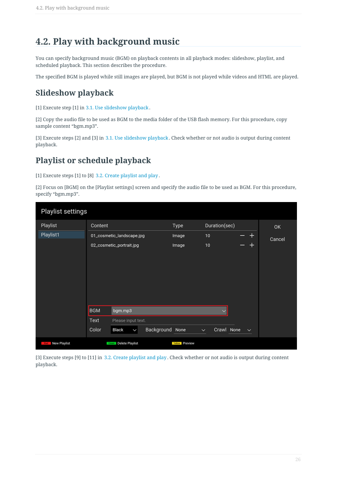### <span id="page-25-0"></span>**4.2. Play with background music**

You can specify background music (BGM) on playback contents in all playback modes: slideshow, playlist, and scheduled playback. This section describes the procedure.

The specified BGM is played while still images are played, but BGM is not played while videos and HTML are played.

#### **Slideshow playback**

[1] Execute step [1] in 3.1. Use slideshow playback .

[2] Copy the audio file to be used as BGM to the media folder of the USB flash memory. For this procedure, copy sample content "bgm.mp3".

[3] Execute steps [2] and [3] in 3.1. Use slideshow playback . Check whether or not audio is output during content playback.

#### **Playlist or schedule playback**

[1] Execute steps [1] to [8] 3.2. Create playlist and play .

[2] Focus on [BGM] on the [Playlist settings] screen and specify the audio file to be used as BGM. For this procedure, specify "bgm.mp3".

| Playlist settings       |            |                           |            |                       |              |               |                 |        |
|-------------------------|------------|---------------------------|------------|-----------------------|--------------|---------------|-----------------|--------|
| Playlist                | Content    |                           |            | Type                  |              | Duration(sec) |                 | 0K     |
| Playlist1               |            | 01_cosmetic_landscape.jpg |            | Image                 | 10           |               | $\blacklozenge$ | Cancel |
|                         |            | 02_cosmetic_portrait.jpg  |            | Image                 | 10           |               | ┿               |        |
|                         |            |                           |            |                       |              |               |                 |        |
|                         |            |                           |            |                       |              |               |                 |        |
|                         |            |                           |            |                       |              |               |                 |        |
|                         |            |                           |            |                       |              |               |                 |        |
|                         |            |                           |            |                       |              |               |                 |        |
|                         |            |                           |            |                       |              |               |                 |        |
|                         | <b>BGM</b> | bgm.mp3                   |            |                       |              | $\checkmark$  |                 |        |
|                         | Text       | Please input text.        |            |                       |              |               |                 |        |
|                         | Color      | Black<br>$\checkmark$     | Background | None                  | $\checkmark$ | Crawl None    | $\checkmark$    |        |
| <b>Red</b> New Playlist |            | Green Delete Playlist     |            | <b>Yellow</b> Preview |              |               |                 |        |

[3] Execute steps [9] to [11] in 3.2. Create playlist and play . Check whether or not audio is output during content playback.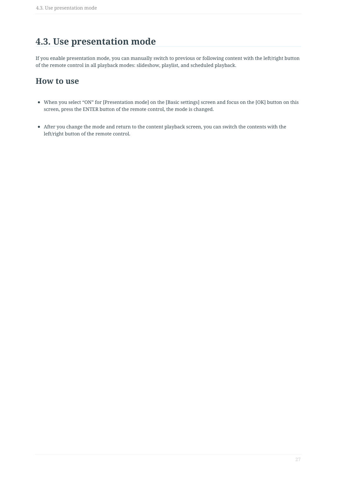### <span id="page-26-0"></span>**4.3. Use presentation mode**

If you enable presentation mode, you can manually switch to previous or following content with the left/right button of the remote control in all playback modes: slideshow, playlist, and scheduled playback.

#### **How to use**

- When you select "ON" for [Presentation mode] on the [Basic settings] screen and focus on the [OK] button on this screen, press the ENTER button of the remote control, the mode is changed.
- After you change the mode and return to the content playback screen, you can switch the contents with the left/right button of the remote control.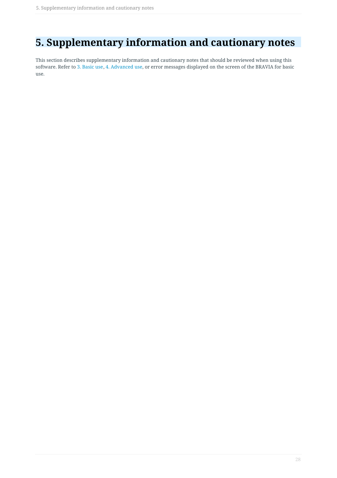### <span id="page-27-0"></span>**5. Supplementary information and cautionary notes**

This section describes supplementary information and cautionary notes that should be reviewed when using this software. Refer to 3. Basic use, 4. Advanced use, or error messages displayed on the screen of the BRAVIA for basic use.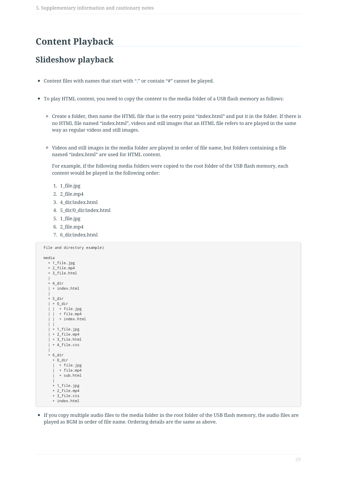#### <span id="page-28-0"></span>**Content Playback**

#### **Slideshow playback**

- Content files with names that start with "." or contain "#" cannot be played.
- To play HTML content, you need to copy the content to the media folder of a USB flash memory as follows:
	- Create a folder, then name the HTML file that is the entry point "index.html" and put it in the folder. If there is no HTML file named "index.html", videos and still images that an HTML file refers to are played in the same way as regular videos and still images.
	- Videos and still images in the media folder are played in order of file name, but folders containing a file named "index.html" are used for HTML content.

For example, if the following media folders were copied to the root folder of the USB flash memory, each content would be played in the following order:

- 1. 1\_file.jpg
- 2. 2\_file.mp4
- 3. 4\_dir/index.html
- 4. 5\_dir/0\_dir/index.html
- 5. 1\_file.jpg
- 6. 2\_file.mp4
- 7. 6\_dir/index.html

```
File and directory example)
media
  + 1_file.jpg
  + 2 file.mp4
  + 3_file.html
  |
  + 4_dir
  | + index.html
  |
  + 5 dir
  | + 0_dir
  | | + file.jpg
  | | + file.mp4
    \vdots + index.html
  | |
   | + 1_file.jpg
  | + 2_file.mp4
  | + 3 file.html
  + 4_file.css
  |
  + 6_dir
    + 0_dir
    | + file.jpg
    | + file.mp4
      + sub.html
    |
    + 1_file.jpg
    + 2_file.mp4
    + 3_file.css
    + index.html
```
If you copy multiple audio files to the media folder in the root folder of the USB flash memory, the audio files are played as BGM in order of file name. Ordering details are the same as above.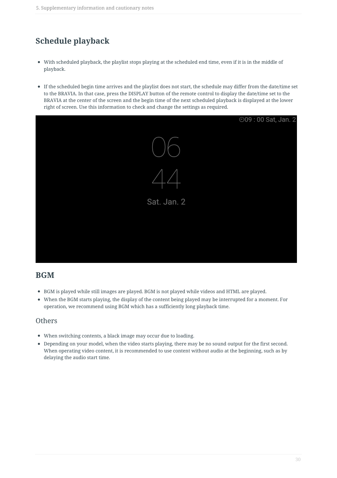### **Schedule playback**

- With scheduled playback, the playlist stops playing at the scheduled end time, even if it is in the middle of playback.
- If the scheduled begin time arrives and the playlist does not start, the schedule may differ from the date/time set to the BRAVIA. In that case, press the DISPLAY button of the remote control to display the date/time set to the BRAVIA at the center of the screen and the begin time of the next scheduled playback is displayed at the lower right of screen. Use this information to check and change the settings as required.



#### **BGM**

- BGM is played while still images are played. BGM is not played while videos and HTML are played.
- When the BGM starts playing, the display of the content being played may be interrupted for a moment. For operation, we recommend using BGM which has a sufficiently long playback time.

#### **Others**

- When switching contents, a black image may occur due to loading.
- Depending on your model, when the video starts playing, there may be no sound output for the first second. When operating video content, it is recommended to use content without audio at the beginning, such as by delaying the audio start time.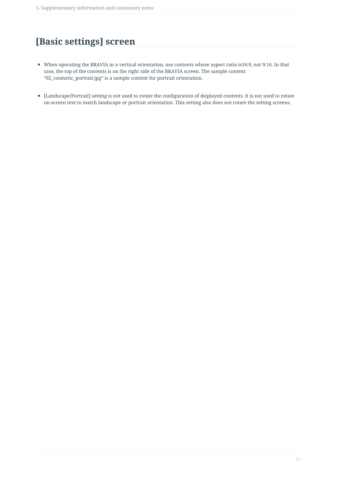### <span id="page-30-0"></span>**[Basic settings] screen**

- When operating the BRAVIA in a vertical orientation, use contents whose aspect ratio is16:9, not 9:16. In that case, the top of the contents is on the right side of the BRAVIA screen. The sample content "02\_cosmetic\_portrait.jpg" is a sample content for portrait orientation.
- [Landscape/Portrait] setting is not used to rotate the configuration of displayed contents. It is not used to rotate on-screen text to match landscape or portrait orientation. This setting also does not rotate the setting screens.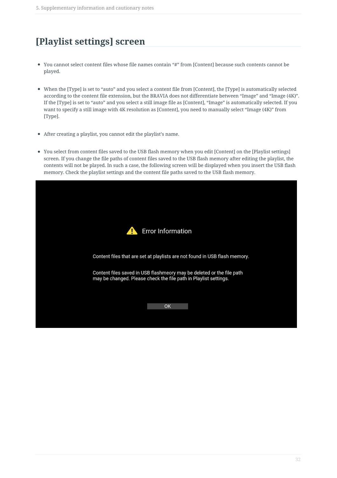### <span id="page-31-0"></span>**[Playlist settings] screen**

- You cannot select content files whose file names contain "#" from [Content] because such contents cannot be played.
- When the [Type] is set to "auto" and you select a content file from [Content], the [Type] is automatically selected according to the content file extension, but the BRAVIA does not differentiate between "Image" and "Image (4K)". If the [Type] is set to "auto" and you select a still image file as [Content], "Image" is automatically selected. If you want to specify a still image with 4K resolution as [Content], you need to manually select "Image (4K)" from [Type].
- After creating a playlist, you cannot edit the playlist's name.
- You select from content files saved to the USB flash memory when you edit [Content] on the [Playlist settings] screen. If you change the file paths of content files saved to the USB flash memory after editing the playlist, the contents will not be played. In such a case, the following screen will be displayed when you insert the USB flash memory. Check the playlist settings and the content file paths saved to the USB flash memory.

|                                                                                                                                           | <b>Error Information</b> |  |
|-------------------------------------------------------------------------------------------------------------------------------------------|--------------------------|--|
| Content files that are set at playlists are not found in USB flash memory.                                                                |                          |  |
| Content files saved in USB flashmeory may be deleted or the file path<br>may be changed. Please check the file path in Playlist settings. |                          |  |
|                                                                                                                                           | OK                       |  |
|                                                                                                                                           |                          |  |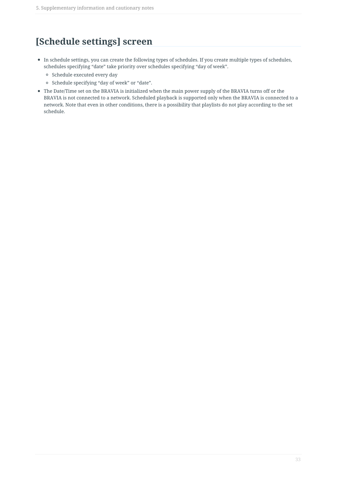### <span id="page-32-0"></span>**[Schedule settings] screen**

- In schedule settings, you can create the following types of schedules. If you create multiple types of schedules, schedules specifying "date" take priority over schedules specifying "day of week".
	- <sup>o</sup> Schedule executed every day
	- <sup>o</sup> Schedule specifying "day of week" or "date".
- The Date/Time set on the BRAVIA is initialized when the main power supply of the BRAVIA turns off or the BRAVIA is not connected to a network. Scheduled playback is supported only when the BRAVIA is connected to a network. Note that even in other conditions, there is a possibility that playlists do not play according to the set schedule.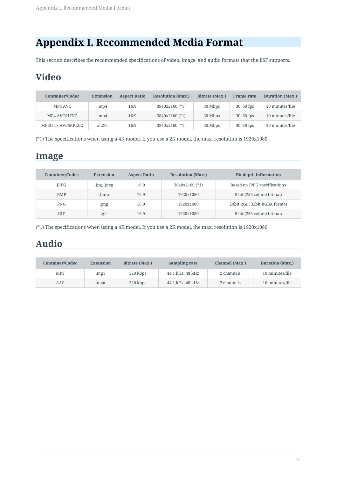### <span id="page-33-0"></span>**Appendix I. Recommended Media Format**

This section describes the recommended specifications of video, image, and audio formats that the BSF supports.

### <span id="page-33-1"></span>**Video**

| <b>Container/Codec</b> | <b>Extension</b> | <b>Resolution (Max.)</b><br><b>Aspect Ratio</b> |                | Bitrate (Max.) | <b>Frame rate</b> | <b>Duration</b> (Max.) |  |
|------------------------|------------------|-------------------------------------------------|----------------|----------------|-------------------|------------------------|--|
| MP4 AVC                | . $mp4$          | 16:9                                            | 3840x2160 (*1) | 30 Mbps        | $30,60$ fps       | 10 minutes/file        |  |
| MP4 AVC/HEVC           | . $mp4$          | 16:9                                            | 3840x2160 (*1) | 30 Mbps        | $30,60$ fps       | 10 minutes/file        |  |
| MPEG TS AVC/MPEG2      | .m2ts            | 16:9                                            | 3840x2160 (*1) | 30 Mbps        | $30,60$ fps       | 10 minutes/file        |  |

(\*1) The specifications when using a 4K model. If you use a 2K model, the max. resolution is 1920x1080.

### <span id="page-33-2"></span>**Image**

| <b>Container/Codec</b> | <b>Extension</b> | <b>Aspect Ratio</b> | <b>Resolution (Max.)</b> | <b>Bit depth information</b> |  |  |
|------------------------|------------------|---------------------|--------------------------|------------------------------|--|--|
| <b>IPEG</b>            | .jpg, .jpeg      | 16:9                | 3840x2160 (*1)           | Based on JPEG specifications |  |  |
| <b>BMP</b>             | .bmp             | 16:9                | 1920x1080                | 8 bit (256 colors) bitmap    |  |  |
| <b>PNG</b>             | .png             | 16:9                | 1920x1080                | 24bit RGB, 32bit RGBA format |  |  |
| GIF                    | .gif             | 16:9                | 1920x1080                | 8 bit (256 colors) bitmap    |  |  |

(\*1) The specifications when using a 4K model. If you use a 2K model, the max. resolution is 1920x1080.

### <span id="page-33-3"></span>**Audio**

| <b>Container/Codec</b> | <b>Extension</b> | Bitrate (Max.) | Sampling rate    | Channel (Max.) | <b>Duration (Max.)</b> |  |
|------------------------|------------------|----------------|------------------|----------------|------------------------|--|
| MP <sub>3</sub>        | mp3              | 320 kbps       | 44.1 kHz, 48 kHz | 2 channels     | 10 minutes/file        |  |
| AAC                    | .m4a             |                | 44.1 kHz, 48 kHz | 2 channels     | 10 minutes/file        |  |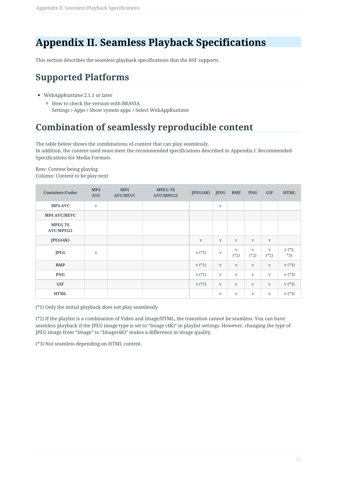### <span id="page-34-0"></span>**Appendix II. Seamless Playback Specifications**

This section describes the seamless playback specifications that the BSF supports.

### <span id="page-34-1"></span>**Supported Platforms**

- WebAppRuntime 2.1.1 or later
	- How to check the version with BRAVIA Settings > Apps > Show system apps > Select WebAppRuntime

### <span id="page-34-2"></span>**Combination of seamlessly reproducible content**

The table below shows the combinations of content that can play seamlessly.

In addition, the content used must meet the recommended specifications described in Appendix I. Recommended Specifications for Media Formats.

Row: Content being playing Column: Content to be play next

| <b>Container/Codec</b>             | MP4<br><b>AVC</b> | MP4<br><b>AVC/HEVC</b> | <b>MPEG TS</b><br><b>AVC/MPEG2</b> | JEG(4K)      | <b>JPEG</b>             | <b>BMP</b>             | <b>PNG</b>             | <b>GIF</b>             | <b>HTML</b>       |
|------------------------------------|-------------------|------------------------|------------------------------------|--------------|-------------------------|------------------------|------------------------|------------------------|-------------------|
| MP4 AVC                            | $\mathbf{V}$      |                        |                                    |              | $\mathbf{V}$            |                        |                        |                        |                   |
| <b>MP4 AVC/HEVC</b>                |                   |                        |                                    |              |                         |                        |                        |                        |                   |
| <b>MPEG TS</b><br><b>AVC/MPEG2</b> |                   |                        |                                    |              |                         |                        |                        |                        |                   |
| IEG(4K)                            |                   |                        |                                    | $\mathbf{V}$ | $\mathbf{V}$            | $\mathbf{V}$           | $\mathbf{V}$           | $\mathbf{V}$           |                   |
| <b>JPEG</b>                        | $\mathbf{V}$      |                        |                                    | $v(*1)$      | $\mathbf{V}$            | $\mathbf{V}$<br>$(*2)$ | $\mathbf{V}$<br>$(*2)$ | $\mathbf{V}$<br>$(*2)$ | $v$ (*2,<br>$*3)$ |
| <b>BMP</b>                         |                   |                        |                                    | $v(*1)$      | $\mathbf{V}$            | $\mathbf{V}$           | $\mathbf{V}$           | $\mathbf{V}$           | $v$ (*3)          |
| <b>PNG</b>                         |                   |                        |                                    | $v(*1)$      | $\mathbf{V}$            | $\mathbf{V}$           | $\mathbf{V}$           | $\mathbf{V}$           | $v$ (*3)          |
| GIF                                |                   |                        |                                    | $v(*1)$      | $\mathbf{V}$            | $\mathbf V$            | $\mathbf{V}$           | $\mathbf{V}$           | $v$ (*3)          |
| <b>HTML</b>                        |                   |                        |                                    |              | $\ensuremath{\text{V}}$ | $\mathbf V$            | $\mathbf{V}$           | $\mathbf V$            | $V(*3)$           |

(\*1) Only the initial playback does not play seamlessly

(\*2) If the playlist is a combination of Video and Image/HTML, the transition cannot be seamless. You can have seamless playback if the JPEG image type is set to "Image (4K)" in playlist settings. However, changing the type of JPEG image from "Image" to "Image(4K)" makes a difference in image quality.

(\*3) Not seamless depending on HTML content.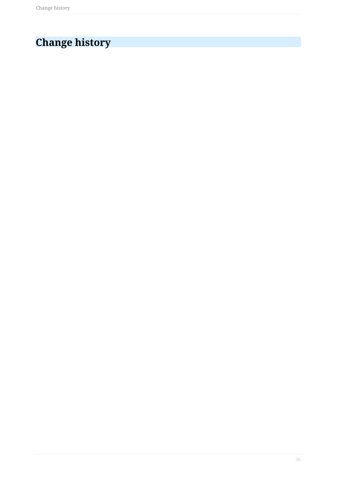# <span id="page-35-0"></span>**Change history**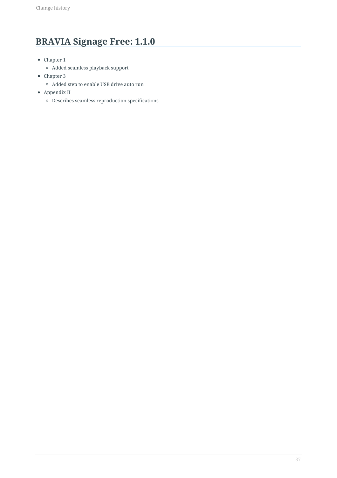### <span id="page-36-0"></span>**BRAVIA Signage Free: 1.1.0**

- Chapter 1
	- Added seamless playback support
- Chapter 3
	- Added step to enable USB drive auto run
- Appendix II
	- $\circ$  Describes seamless reproduction specifications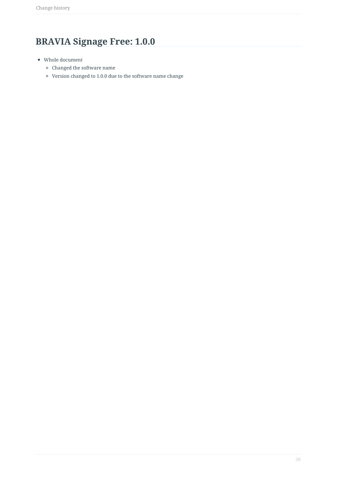## <span id="page-37-0"></span>**BRAVIA Signage Free: 1.0.0**

- Whole document
	- Changed the software name
	- Version changed to 1.0.0 due to the software name change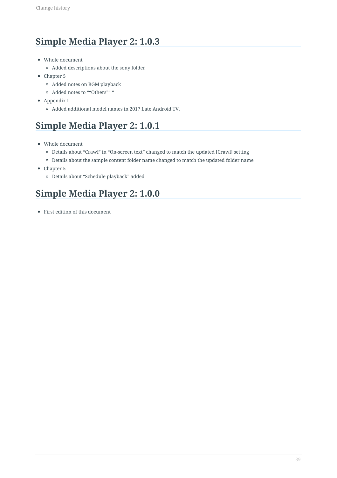### <span id="page-38-0"></span>**Simple Media Player 2: 1.0.3**

- Whole document
	- Added descriptions about the sony folder
- Chapter 5
	- Added notes on BGM playback
	- <sup>o</sup> Added notes to ""Others"" "
- Appendix I
	- Added additional model names in 2017 Late Android TV.

### <span id="page-38-1"></span>**Simple Media Player 2: 1.0.1**

- Whole document
	- Details about "Crawl" in "On-screen text" changed to match the updated [Crawl] setting
	- Details about the sample content folder name changed to match the updated folder name
- Chapter 5
	- Details about "Schedule playback" added

#### <span id="page-38-2"></span>**Simple Media Player 2: 1.0.0**

First edition of this document